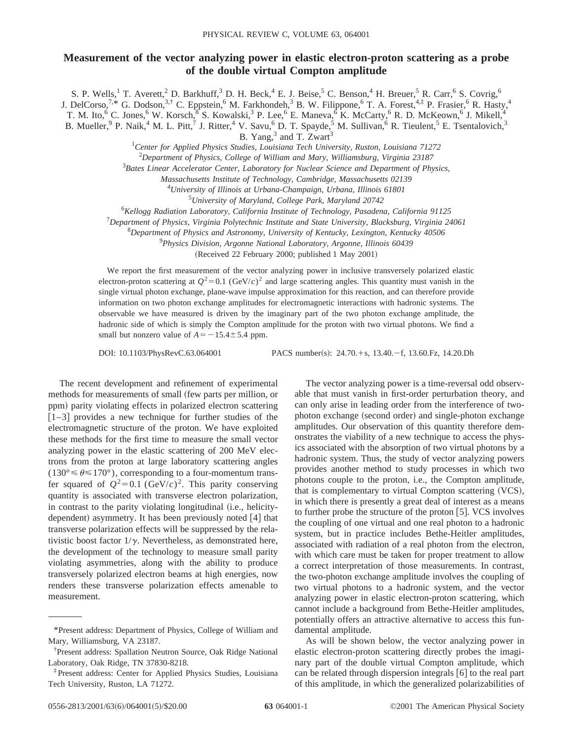## **Measurement of the vector analyzing power in elastic electron-proton scattering as a probe of the double virtual Compton amplitude**

S. P. Wells,<sup>1</sup> T. Averett,<sup>2</sup> D. Barkhuff,<sup>3</sup> D. H. Beck,<sup>4</sup> E. J. Beise,<sup>5</sup> C. Benson,<sup>4</sup> H. Breuer,<sup>5</sup> R. Carr,<sup>6</sup> S. Covrig,<sup>6</sup>

J. DelCorso,<sup>7,\*</sup> G. Dodson,<sup>3,†</sup> C. Eppstein,<sup>6</sup> M. Farkhondeh,<sup>3</sup> B. W. Filippone,<sup>6</sup> T. A. Forest,<sup>4,‡</sup> P. Frasier,<sup>6</sup> R. Hasty,<sup>4</sup>

T. M. Ito,<sup>6</sup> C. Jones,<sup>6</sup> W. Korsch,<sup>8</sup> S. Kowalski,<sup>3</sup> P. Lee,<sup>6</sup> E. Maneva,<sup>6</sup> K. McCarty,<sup>6</sup> R. D. McKeown,<sup>6</sup> J. Mikell,<sup>4</sup>

B. Mueller,<sup>9</sup> P. Naik,<sup>4</sup> M. L. Pitt,<sup>7</sup> J. Ritter,<sup>4</sup> V. Savu,<sup>6</sup> D. T. Spayde,<sup>5</sup> M. Sullivan,<sup>6</sup> R. Tieulent,<sup>5</sup> E. Tsentalovich,<sup>3</sup>

B. Yang,<sup>3</sup> and T. Zwart<sup>3</sup>

1 *Center for Applied Physics Studies, Louisiana Tech University, Ruston, Louisiana 71272*

2 *Department of Physics, College of William and Mary, Williamsburg, Virginia 23187*

3 *Bates Linear Accelerator Center, Laboratory for Nuclear Science and Department of Physics,*

*Massachusetts Institute of Technology, Cambridge, Massachusetts 02139*

4 *University of Illinois at Urbana-Champaign, Urbana, Illinois 61801*

5 *University of Maryland, College Park, Maryland 20742*

6 *Kellogg Radiation Laboratory, California Institute of Technology, Pasadena, California 91125*

7 *Department of Physics, Virginia Polytechnic Institute and State University, Blacksburg, Virginia 24061*

8 *Department of Physics and Astronomy, University of Kentucky, Lexington, Kentucky 40506*

9 *Physics Division, Argonne National Laboratory, Argonne, Illinois 60439*

 $(Received 22 February 2000; published 1 May 2001)$ 

We report the first measurement of the vector analyzing power in inclusive transversely polarized elastic electron-proton scattering at  $Q^2=0.1$  (GeV/*c*)<sup>2</sup> and large scattering angles. This quantity must vanish in the single virtual photon exchange, plane-wave impulse approximation for this reaction, and can therefore provide information on two photon exchange amplitudes for electromagnetic interactions with hadronic systems. The observable we have measured is driven by the imaginary part of the two photon exchange amplitude, the hadronic side of which is simply the Compton amplitude for the proton with two virtual photons. We find a small but nonzero value of  $A = -15.4 \pm 5.4$  ppm.

DOI: 10.1103/PhysRevC.63.064001 PACS number(s): 24.70.+s, 13.40.-f, 13.60.Fz, 14.20.Dh

The recent development and refinement of experimental methods for measurements of small (few parts per million, or ppm) parity violating effects in polarized electron scattering  $[1-3]$  provides a new technique for further studies of the electromagnetic structure of the proton. We have exploited these methods for the first time to measure the small vector analyzing power in the elastic scattering of 200 MeV electrons from the proton at large laboratory scattering angles  $(130^{\circ} \le \theta \le 170^{\circ})$ , corresponding to a four-momentum transfer squared of  $Q^2=0.1$  (GeV/*c*)<sup>2</sup>. This parity conserving quantity is associated with transverse electron polarization, in contrast to the parity violating longitudinal (i.e., helicitydependent) asymmetry. It has been previously noted  $[4]$  that transverse polarization effects will be suppressed by the relativistic boost factor  $1/\gamma$ . Nevertheless, as demonstrated here, the development of the technology to measure small parity violating asymmetries, along with the ability to produce transversely polarized electron beams at high energies, now renders these transverse polarization effects amenable to measurement.

The vector analyzing power is a time-reversal odd observable that must vanish in first-order perturbation theory, and can only arise in leading order from the interference of twophoton exchange (second order) and single-photon exchange amplitudes. Our observation of this quantity therefore demonstrates the viability of a new technique to access the physics associated with the absorption of two virtual photons by a hadronic system. Thus, the study of vector analyzing powers provides another method to study processes in which two photons couple to the proton, i.e., the Compton amplitude, that is complementary to virtual Compton scattering (VCS), in which there is presently a great deal of interest as a means to further probe the structure of the proton  $[5]$ . VCS involves the coupling of one virtual and one real photon to a hadronic system, but in practice includes Bethe-Heitler amplitudes, associated with radiation of a real photon from the electron, with which care must be taken for proper treatment to allow a correct interpretation of those measurements. In contrast, the two-photon exchange amplitude involves the coupling of two virtual photons to a hadronic system, and the vector analyzing power in elastic electron-proton scattering, which cannot include a background from Bethe-Heitler amplitudes, potentially offers an attractive alternative to access this fundamental amplitude.

As will be shown below, the vector analyzing power in elastic electron-proton scattering directly probes the imaginary part of the double virtual Compton amplitude, which can be related through dispersion integrals  $[6]$  to the real part of this amplitude, in which the generalized polarizabilities of

<sup>\*</sup>Present address: Department of Physics, College of William and Mary, Williamsburg, VA 23187.

<sup>†</sup> Present address: Spallation Neutron Source, Oak Ridge National Laboratory, Oak Ridge, TN 37830-8218.

<sup>‡</sup>Present address: Center for Applied Physics Studies, Louisiana Tech University, Ruston, LA 71272.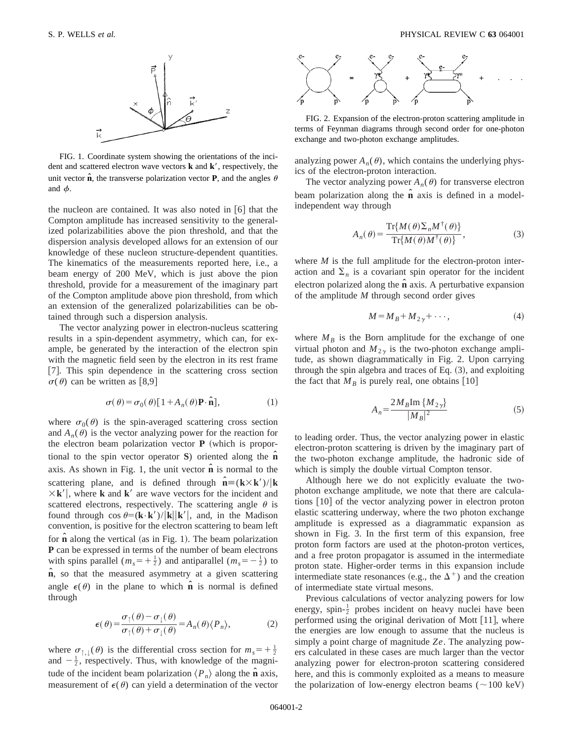

FIG. 1. Coordinate system showing the orientations of the incident and scattered electron wave vectors  $\bf{k}$  and  $\bf{k}'$ , respectively, the unit vector  $\hat{\bf{n}}$ , the transverse polarization vector **P**, and the angles  $\theta$ and  $\phi$ .

the nucleon are contained. It was also noted in  $\lceil 6 \rceil$  that the Compton amplitude has increased sensitivity to the generalized polarizabilities above the pion threshold, and that the dispersion analysis developed allows for an extension of our knowledge of these nucleon structure-dependent quantities. The kinematics of the measurements reported here, i.e., a beam energy of 200 MeV, which is just above the pion threshold, provide for a measurement of the imaginary part of the Compton amplitude above pion threshold, from which an extension of the generalized polarizabilities can be obtained through such a dispersion analysis.

The vector analyzing power in electron-nucleus scattering results in a spin-dependent asymmetry, which can, for example, be generated by the interaction of the electron spin with the magnetic field seen by the electron in its rest frame [7]. This spin dependence in the scattering cross section  $\sigma(\theta)$  can be written as [8,9]

$$
\sigma(\theta) = \sigma_0(\theta) [1 + A_n(\theta) \mathbf{P} \cdot \hat{\mathbf{n}}], \tag{1}
$$

where  $\sigma_0(\theta)$  is the spin-averaged scattering cross section and  $A_n(\theta)$  is the vector analyzing power for the reaction for the electron beam polarization vector  $P$  (which is proportional to the spin vector operator **S**) oriented along the **nˆ** axis. As shown in Fig. 1, the unit vector  $\hat{\bf{n}}$  is normal to the scattering plane, and is defined through  $\hat{\mathbf{n}} \equiv (\mathbf{k} \times \mathbf{k}')/|\mathbf{k}|$  $\times$ **k'**, where **k** and **k'** are wave vectors for the incident and scattered electrons, respectively. The scattering angle  $\theta$  is found through  $\cos \theta = (\mathbf{k} \cdot \mathbf{k}')/|\mathbf{k}||\mathbf{k}'|$ , and, in the Madison convention, is positive for the electron scattering to beam left for  $\hat{\bf{n}}$  along the vertical (as in Fig. 1). The beam polarization **P** can be expressed in terms of the number of beam electrons with spins parallel  $(m_s = +\frac{1}{2})$  and antiparallel  $(m_s = -\frac{1}{2})$  to **nˆ**, so that the measured asymmetry at a given scattering angle  $\epsilon(\theta)$  in the plane to which **n** is normal is defined through

$$
\epsilon(\theta) = \frac{\sigma_{\uparrow}(\theta) - \sigma_{\downarrow}(\theta)}{\sigma_{\uparrow}(\theta) + \sigma_{\downarrow}(\theta)} = A_n(\theta) \langle P_n \rangle, \tag{2}
$$

where  $\sigma_{\uparrow,\downarrow}(\theta)$  is the differential cross section for  $m_s = +\frac{1}{2}$ and  $-\frac{1}{2}$ , respectively. Thus, with knowledge of the magnitude of the incident beam polarization  $\langle P_n \rangle$  along the  $\hat{\bf{n}}$  axis, measurement of  $\epsilon(\theta)$  can yield a determination of the vector



FIG. 2. Expansion of the electron-proton scattering amplitude in terms of Feynman diagrams through second order for one-photon exchange and two-photon exchange amplitudes.

analyzing power  $A_n(\theta)$ , which contains the underlying physics of the electron-proton interaction.

The vector analyzing power  $A_n(\theta)$  for transverse electron beam polarization along the  $\hat{\bf{n}}$  axis is defined in a modelindependent way through

$$
A_n(\theta) = \frac{\operatorname{Tr}\{M(\theta)\Sigma_n M^\dagger(\theta)\}}{\operatorname{Tr}\{M(\theta)M^\dagger(\theta)\}},
$$
(3)

where *M* is the full amplitude for the electron-proton interaction and  $\Sigma_n$  is a covariant spin operator for the incident electron polarized along the **nˆ** axis. A perturbative expansion of the amplitude *M* through second order gives

$$
M = M_B + M_{2y} + \cdots,\tag{4}
$$

where  $M_B$  is the Born amplitude for the exchange of one virtual photon and  $M_{2v}$  is the two-photon exchange amplitude, as shown diagrammatically in Fig. 2. Upon carrying through the spin algebra and traces of Eq.  $(3)$ , and exploiting the fact that  $M_B$  is purely real, one obtains [10]

$$
A_n = \frac{2M_B \text{Im} \{M_{2\gamma}\}}{|M_B|^2} \tag{5}
$$

to leading order. Thus, the vector analyzing power in elastic electron-proton scattering is driven by the imaginary part of the two-photon exchange amplitude, the hadronic side of which is simply the double virtual Compton tensor.

Although here we do not explicitly evaluate the twophoton exchange amplitude, we note that there are calculations  $\lceil 10 \rceil$  of the vector analyzing power in electron proton elastic scattering underway, where the two photon exchange amplitude is expressed as a diagrammatic expansion as shown in Fig. 3. In the first term of this expansion, free proton form factors are used at the photon-proton vertices, and a free proton propagator is assumed in the intermediate proton state. Higher-order terms in this expansion include intermediate state resonances (e.g., the  $\Delta^+$ ) and the creation of intermediate state virtual mesons.

Previous calculations of vector analyzing powers for low energy, spin- $\frac{1}{2}$  probes incident on heavy nuclei have been performed using the original derivation of Mott  $[11]$ , where the energies are low enough to assume that the nucleus is simply a point charge of magnitude *Ze*. The analyzing powers calculated in these cases are much larger than the vector analyzing power for electron-proton scattering considered here, and this is commonly exploited as a means to measure the polarization of low-energy electron beams  $(\sim 100 \text{ keV})$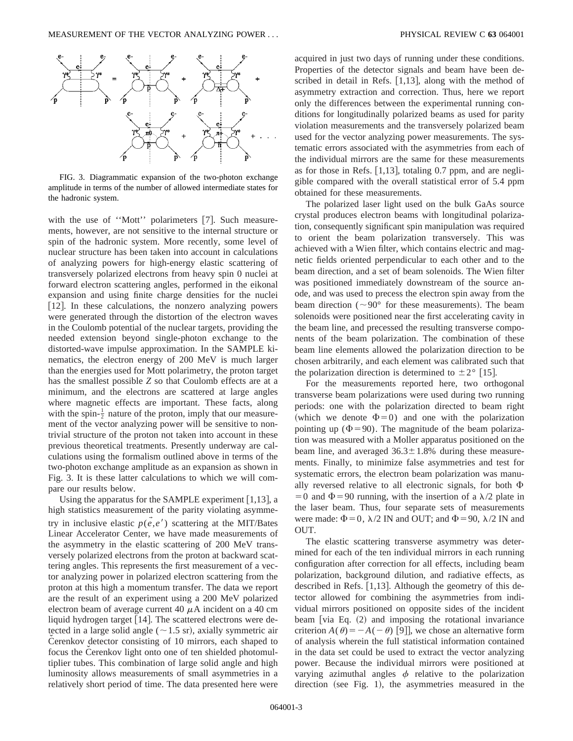

FIG. 3. Diagrammatic expansion of the two-photon exchange amplitude in terms of the number of allowed intermediate states for the hadronic system.

with the use of "Mott" polarimeters [7]. Such measurements, however, are not sensitive to the internal structure or spin of the hadronic system. More recently, some level of nuclear structure has been taken into account in calculations of analyzing powers for high-energy elastic scattering of transversely polarized electrons from heavy spin 0 nuclei at forward electron scattering angles, performed in the eikonal expansion and using finite charge densities for the nuclei [12]. In these calculations, the nonzero analyzing powers were generated through the distortion of the electron waves in the Coulomb potential of the nuclear targets, providing the needed extension beyond single-photon exchange to the distorted-wave impulse approximation. In the SAMPLE kinematics, the electron energy of 200 MeV is much larger than the energies used for Mott polarimetry, the proton target has the smallest possible *Z* so that Coulomb effects are at a minimum, and the electrons are scattered at large angles where magnetic effects are important. These facts, along with the spin- $\frac{1}{2}$  nature of the proton, imply that our measurement of the vector analyzing power will be sensitive to nontrivial structure of the proton not taken into account in these previous theoretical treatments. Presently underway are calculations using the formalism outlined above in terms of the two-photon exchange amplitude as an expansion as shown in Fig. 3. It is these latter calculations to which we will compare our results below.

Using the apparatus for the SAMPLE experiment  $[1,13]$ , a high statistics measurement of the parity violating asymmetry in inclusive elastic  $p(e,e')$  scattering at the MIT/Bates Linear Accelerator Center, we have made measurements of the asymmetry in the elastic scattering of 200 MeV transversely polarized electrons from the proton at backward scattering angles. This represents the first measurement of a vector analyzing power in polarized electron scattering from the proton at this high a momentum transfer. The data we report are the result of an experiment using a 200 MeV polarized electron beam of average current 40  $\mu$ A incident on a 40 cm liquid hydrogen target [14]. The scattered electrons were detected in a large solid angle ( $\sim$ 1.5 sr), axially symmetric air Cerenkov detector consisting of 10 mirrors, each shaped to focus the Cerenkov light onto one of ten shielded photomultiplier tubes. This combination of large solid angle and high luminosity allows measurements of small asymmetries in a relatively short period of time. The data presented here were

acquired in just two days of running under these conditions. Properties of the detector signals and beam have been described in detail in Refs.  $[1,13]$ , along with the method of asymmetry extraction and correction. Thus, here we report only the differences between the experimental running conditions for longitudinally polarized beams as used for parity violation measurements and the transversely polarized beam used for the vector analyzing power measurements. The systematic errors associated with the asymmetries from each of the individual mirrors are the same for these measurements as for those in Refs.  $[1,13]$ , totaling 0.7 ppm, and are negligible compared with the overall statistical error of 5.4 ppm obtained for these measurements.

The polarized laser light used on the bulk GaAs source crystal produces electron beams with longitudinal polarization, consequently significant spin manipulation was required to orient the beam polarization transversely. This was achieved with a Wien filter, which contains electric and magnetic fields oriented perpendicular to each other and to the beam direction, and a set of beam solenoids. The Wien filter was positioned immediately downstream of the source anode, and was used to precess the electron spin away from the beam direction ( $\sim$ 90° for these measurements). The beam solenoids were positioned near the first accelerating cavity in the beam line, and precessed the resulting transverse components of the beam polarization. The combination of these beam line elements allowed the polarization direction to be chosen arbitrarily, and each element was calibrated such that the polarization direction is determined to  $\pm 2^{\circ}$  [15].

For the measurements reported here, two orthogonal transverse beam polarizations were used during two running periods: one with the polarization directed to beam right (which we denote  $\Phi=0$ ) and one with the polarization pointing up  $(\Phi = 90)$ . The magnitude of the beam polarization was measured with a Moller apparatus positioned on the beam line, and averaged  $36.3 \pm 1.8$ % during these measurements. Finally, to minimize false asymmetries and test for systematic errors, the electron beam polarization was manually reversed relative to all electronic signals, for both  $\Phi$  $=0$  and  $\Phi$ =90 running, with the insertion of a  $\lambda/2$  plate in the laser beam. Thus, four separate sets of measurements were made:  $\Phi = 0$ ,  $\lambda/2$  IN and OUT; and  $\Phi = 90$ ,  $\lambda/2$  IN and OUT.

The elastic scattering transverse asymmetry was determined for each of the ten individual mirrors in each running configuration after correction for all effects, including beam polarization, background dilution, and radiative effects, as described in Refs.  $[1,13]$ . Although the geometry of this detector allowed for combining the asymmetries from individual mirrors positioned on opposite sides of the incident beam  $\lceil \text{via Eq.} \rceil$  (2) and imposing the rotational invariance criterion  $A(\theta) = -A(-\theta)$  [9]], we chose an alternative form of analysis wherein the full statistical information contained in the data set could be used to extract the vector analyzing power. Because the individual mirrors were positioned at varying azimuthal angles  $\phi$  relative to the polarization direction (see Fig. 1), the asymmetries measured in the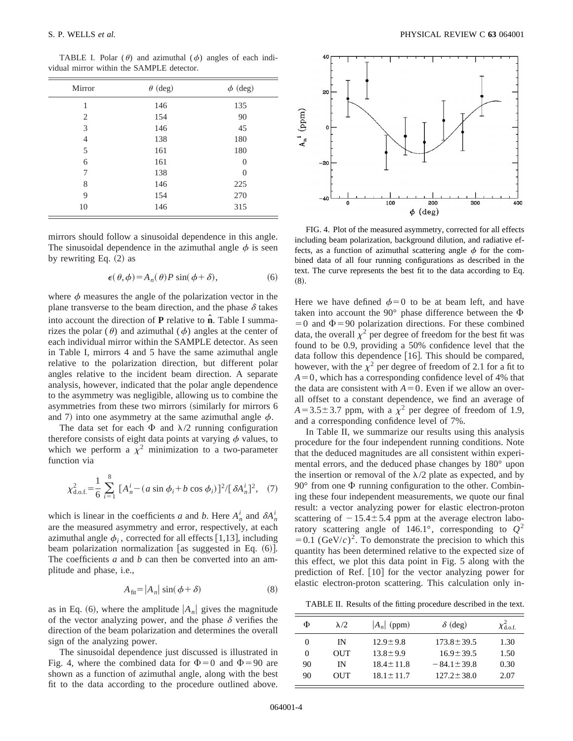TABLE I. Polar  $(\theta)$  and azimuthal  $(\phi)$  angles of each individual mirror within the SAMPLE detector.

| Mirror         | $\theta$ (deg) | $\phi$ (deg) |  |
|----------------|----------------|--------------|--|
| 1              | 146            | 135          |  |
| 2              | 154            | 90           |  |
| 3              | 146            | 45           |  |
| $\overline{4}$ | 138            | 180          |  |
| 5              | 161            | 180          |  |
| 6              | 161            | $\theta$     |  |
| 7              | 138            | $\Omega$     |  |
| 8              | 146            | 225          |  |
| 9              | 154            | 270          |  |
| 10             | 146            | 315          |  |

mirrors should follow a sinusoidal dependence in this angle. The sinusoidal dependence in the azimuthal angle  $\phi$  is seen by rewriting Eq.  $(2)$  as

$$
\epsilon(\theta,\phi) = A_n(\theta)P\sin(\phi+\delta),\tag{6}
$$

where  $\phi$  measures the angle of the polarization vector in the plane transverse to the beam direction, and the phase  $\delta$  takes into account the direction of **P** relative to **nˆ**. Table I summarizes the polar ( $\theta$ ) and azimuthal ( $\phi$ ) angles at the center of each individual mirror within the SAMPLE detector. As seen in Table I, mirrors 4 and 5 have the same azimuthal angle relative to the polarization direction, but different polar angles relative to the incident beam direction. A separate analysis, however, indicated that the polar angle dependence to the asymmetry was negligible, allowing us to combine the asymmetries from these two mirrors (similarly for mirrors 6 and 7) into one asymmetry at the same azimuthal angle  $\phi$ .

The data set for each  $\Phi$  and  $\lambda/2$  running configuration therefore consists of eight data points at varying  $\phi$  values, to which we perform a  $\chi^2$  minimization to a two-parameter function via

$$
\chi_{\text{d.o.f.}}^2 = \frac{1}{6} \sum_{i=1}^8 \left[ A_n^i - (a \sin \phi_i + b \cos \phi_i) \right]^2 / [\delta A_n^i]^2, \quad (7)
$$

which is linear in the coefficients *a* and *b*. Here  $A_n^i$  and  $\delta A_n^i$ are the measured asymmetry and error, respectively, at each azimuthal angle  $\phi_i$ , corrected for all effects [1,13], including beam polarization normalization [as suggested in Eq.  $(6)$ ]. The coefficients *a* and *b* can then be converted into an amplitude and phase, i.e.,

$$
A_{\text{fit}} = |A_n| \sin(\phi + \delta) \tag{8}
$$

as in Eq. (6), where the amplitude  $|A_n|$  gives the magnitude of the vector analyzing power, and the phase  $\delta$  verifies the direction of the beam polarization and determines the overall sign of the analyzing power.

The sinusoidal dependence just discussed is illustrated in Fig. 4, where the combined data for  $\Phi=0$  and  $\Phi=90$  are shown as a function of azimuthal angle, along with the best fit to the data according to the procedure outlined above.



FIG. 4. Plot of the measured asymmetry, corrected for all effects including beam polarization, background dilution, and radiative effects, as a function of azimuthal scattering angle  $\phi$  for the combined data of all four running configurations as described in the text. The curve represents the best fit to the data according to Eq.  $(8).$ 

Here we have defined  $\phi=0$  to be at beam left, and have taken into account the  $90^{\circ}$  phase difference between the  $\Phi$  $=0$  and  $\Phi$ =90 polarization directions. For these combined data, the overall  $\chi^2$  per degree of freedom for the best fit was found to be 0.9, providing a 50% confidence level that the data follow this dependence  $[16]$ . This should be compared, however, with the  $\chi^2$  per degree of freedom of 2.1 for a fit to  $A=0$ , which has a corresponding confidence level of 4% that the data are consistent with  $A=0$ . Even if we allow an overall offset to a constant dependence, we find an average of  $A=3.5\pm3.7$  ppm, with a  $\chi^2$  per degree of freedom of 1.9, and a corresponding confidence level of 7%.

In Table II, we summarize our results using this analysis procedure for the four independent running conditions. Note that the deduced magnitudes are all consistent within experimental errors, and the deduced phase changes by 180° upon the insertion or removal of the  $\lambda/2$  plate as expected, and by  $90^{\circ}$  from one  $\Phi$  running configuration to the other. Combining these four independent measurements, we quote our final result: a vector analyzing power for elastic electron-proton scattering of  $-15.4 \pm 5.4$  ppm at the average electron laboratory scattering angle of 146.1°, corresponding to  $Q^2$  $=0.1$  (GeV/*c*)<sup>2</sup>. To demonstrate the precision to which this quantity has been determined relative to the expected size of this effect, we plot this data point in Fig. 5 along with the prediction of Ref.  $[10]$  for the vector analyzing power for elastic electron-proton scattering. This calculation only in-

TABLE II. Results of the fitting procedure described in the text.

| Ф        | $\lambda/2$ | $ A_n $ (ppm)   | $\delta$ (deg)   | $\chi^2_{\rm dof}$ |
|----------|-------------|-----------------|------------------|--------------------|
| $\theta$ | IN          | $12.9 \pm 9.8$  | $173.8 \pm 39.5$ | 1.30               |
| 0        | <b>OUT</b>  | $13.8 \pm 9.9$  | $16.9 \pm 39.5$  | 1.50               |
| 90       | IN          | $18.4 \pm 11.8$ | $-84.1 \pm 39.8$ | 0.30               |
| 90       | OUT         | $18.1 \pm 11.7$ | $127.2 \pm 38.0$ | 2.07               |
|          |             |                 |                  |                    |